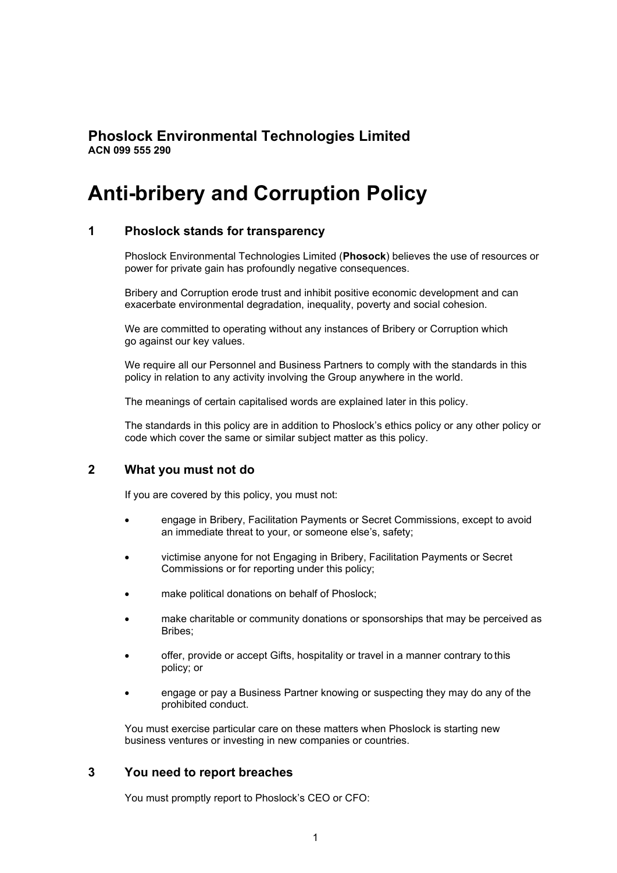# **Phoslock Environmental Technologies Limited ACN 099 555 290**

# **Anti-bribery and Corruption Policy**

## **1 Phoslock stands for transparency**

Phoslock Environmental Technologies Limited (**Phosock**) believes the use of resources or power for private gain has profoundly negative consequences.

Bribery and Corruption erode trust and inhibit positive economic development and can exacerbate environmental degradation, inequality, poverty and social cohesion.

We are committed to operating without any instances of Bribery or Corruption which go against our key values.

We require all our Personnel and Business Partners to comply with the standards in this policy in relation to any activity involving the Group anywhere in the world.

The meanings of certain capitalised words are explained later in this policy.

The standards in this policy are in addition to Phoslock's ethics policy or any other policy or code which cover the same or similar subject matter as this policy.

#### **2 What you must not do**

If you are covered by this policy, you must not:

- engage in Bribery, Facilitation Payments or Secret Commissions, except to avoid an immediate threat to your, or someone else's, safety;
- victimise anyone for not Engaging in Bribery, Facilitation Payments or Secret Commissions or for reporting under this policy;
- make political donations on behalf of Phoslock:
- make charitable or community donations or sponsorships that may be perceived as Bribes;
- offer, provide or accept Gifts, hospitality or travel in a manner contrary to this policy; or
- engage or pay a Business Partner knowing or suspecting they may do any of the prohibited conduct.

You must exercise particular care on these matters when Phoslock is starting new business ventures or investing in new companies or countries.

#### **3 You need to report breaches**

You must promptly report to Phoslock's CEO or CFO: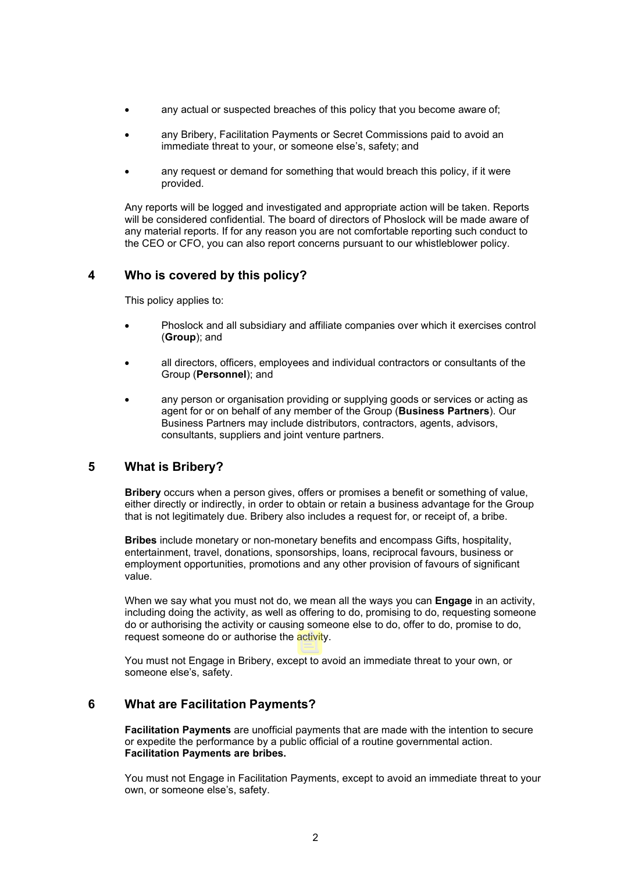- any actual or suspected breaches of this policy that you become aware of;
- any Bribery, Facilitation Payments or Secret Commissions paid to avoid an immediate threat to your, or someone else's, safety; and
- any request or demand for something that would breach this policy, if it were provided.

Any reports will be logged and investigated and appropriate action will be taken. Reports will be considered confidential. The board of directors of Phoslock will be made aware of any material reports. If for any reason you are not comfortable reporting such conduct to the CEO or CFO, you can also report concerns pursuant to our whistleblower policy.

## **4 Who is covered by this policy?**

This policy applies to:

- Phoslock and all subsidiary and affiliate companies over which it exercises control (**Group**); and
- all directors, officers, employees and individual contractors or consultants of the Group (**Personnel**); and
- any person or organisation providing or supplying goods or services or acting as agent for or on behalf of any member of the Group (**Business Partners**). Our Business Partners may include distributors, contractors, agents, advisors, consultants, suppliers and joint venture partners.

# **5 What is Bribery?**

**Bribery** occurs when a person gives, offers or promises a benefit or something of value, either directly or indirectly, in order to obtain or retain a business advantage for the Group that is not legitimately due. Bribery also includes a request for, or receipt of, a bribe.

**Bribes** include monetary or non-monetary benefits and encompass Gifts, hospitality, entertainment, travel, donations, sponsorships, loans, reciprocal favours, business or employment opportunities, promotions and any other provision of favours of significant value.

When we say what you must not do, we mean all the ways you can **Engage** in an activity, including doing the activity, as well as offering to do, promising to do, requesting someone do or authorising the activity or causing someone else to do, offer to do, promise to do, request someone do or authorise the activity.

You must not Engage in Bribery, except to avoid an immediate threat to your own, or someone else's, safety.

# **6 What are Facilitation Payments?**

**Facilitation Payments** are unofficial payments that are made with the intention to secure or expedite the performance by a public official of a routine governmental action. **Facilitation Payments are bribes.**

You must not Engage in Facilitation Payments, except to avoid an immediate threat to your own, or someone else's, safety.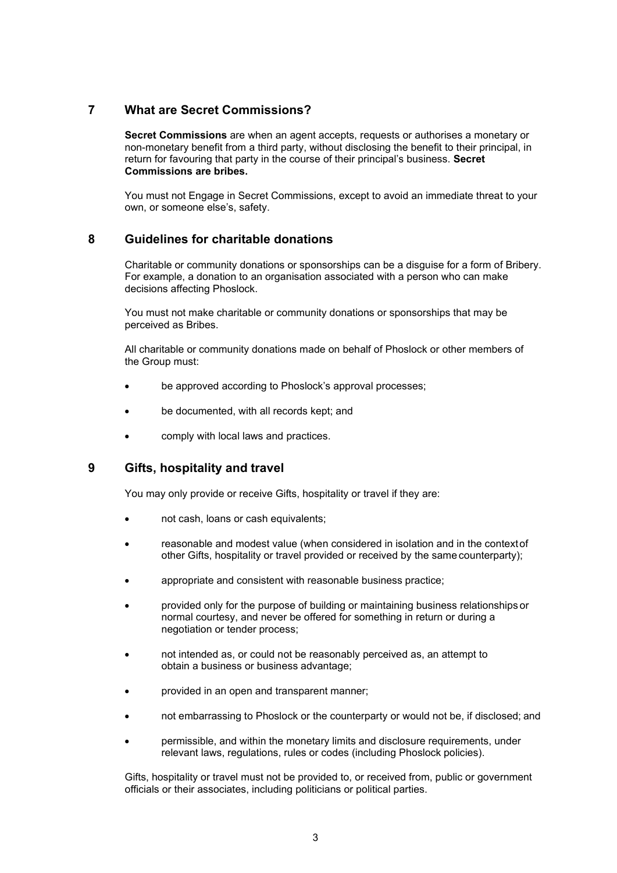## **7 What are Secret Commissions?**

**Secret Commissions** are when an agent accepts, requests or authorises a monetary or non-monetary benefit from a third party, without disclosing the benefit to their principal, in return for favouring that party in the course of their principal's business. **Secret Commissions are bribes.**

You must not Engage in Secret Commissions, except to avoid an immediate threat to your own, or someone else's, safety.

## **8 Guidelines for charitable donations**

Charitable or community donations or sponsorships can be a disguise for a form of Bribery. For example, a donation to an organisation associated with a person who can make decisions affecting Phoslock.

You must not make charitable or community donations or sponsorships that may be perceived as Bribes.

All charitable or community donations made on behalf of Phoslock or other members of the Group must:

- be approved according to Phoslock's approval processes;
- be documented, with all records kept; and
- comply with local laws and practices.

# **9 Gifts, hospitality and travel**

You may only provide or receive Gifts, hospitality or travel if they are:

- not cash, loans or cash equivalents;
- reasonable and modest value (when considered in isolation and in the contextof other Gifts, hospitality or travel provided or received by the same counterparty);
- appropriate and consistent with reasonable business practice;
- provided only for the purpose of building or maintaining business relationships or normal courtesy, and never be offered for something in return or during a negotiation or tender process;
- not intended as, or could not be reasonably perceived as, an attempt to obtain a business or business advantage;
- provided in an open and transparent manner;
- not embarrassing to Phoslock or the counterparty or would not be, if disclosed; and
- permissible, and within the monetary limits and disclosure requirements, under relevant laws, regulations, rules or codes (including Phoslock policies).

Gifts, hospitality or travel must not be provided to, or received from, public or government officials or their associates, including politicians or political parties.